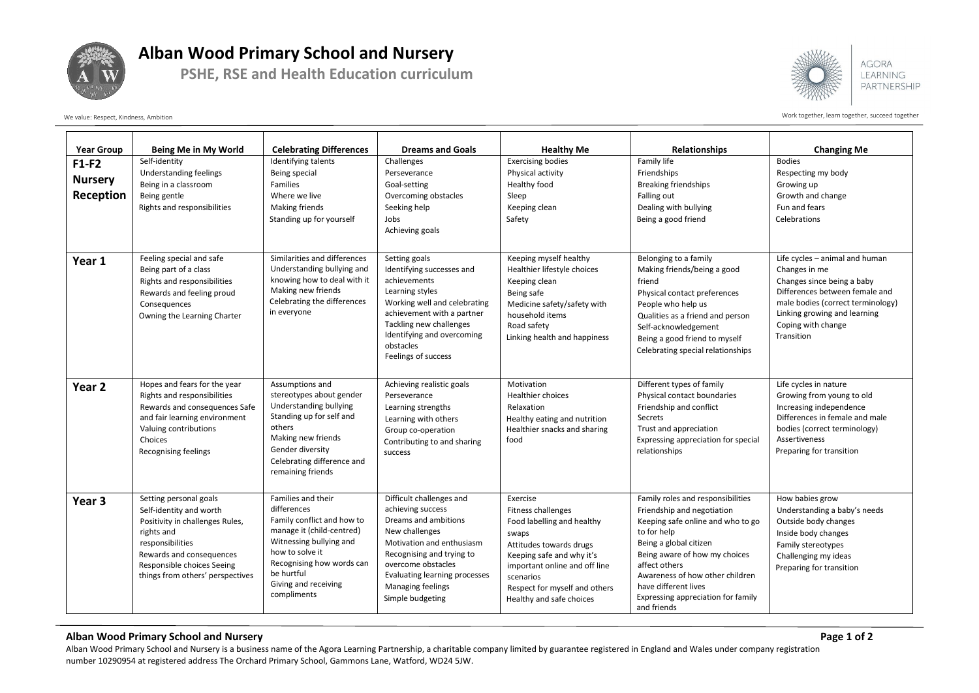

## **Alban Wood Primary School and Nursery**

**PSHE, RSE and Health Education curriculum**



**AGORA LEARNING** PARTNERSHIP

Work together, learn together, learn together, succeed together

| <b>Year Group</b>                      | Being Me in My World                                                                                                                                                                                                 | <b>Celebrating Differences</b>                                                                                                                                                                                               | <b>Dreams and Goals</b>                                                                                                                                                                                                                           | <b>Healthy Me</b>                                                                                                                                                                                                                               | <b>Relationships</b>                                                                                                                                                                                                                                                                                            | <b>Changing Me</b>                                                                                                                                                                                                       |
|----------------------------------------|----------------------------------------------------------------------------------------------------------------------------------------------------------------------------------------------------------------------|------------------------------------------------------------------------------------------------------------------------------------------------------------------------------------------------------------------------------|---------------------------------------------------------------------------------------------------------------------------------------------------------------------------------------------------------------------------------------------------|-------------------------------------------------------------------------------------------------------------------------------------------------------------------------------------------------------------------------------------------------|-----------------------------------------------------------------------------------------------------------------------------------------------------------------------------------------------------------------------------------------------------------------------------------------------------------------|--------------------------------------------------------------------------------------------------------------------------------------------------------------------------------------------------------------------------|
| $F1-F2$<br><b>Nursery</b><br>Reception | Self-identity<br>Understanding feelings<br>Being in a classroom<br>Being gentle<br>Rights and responsibilities                                                                                                       | Identifying talents<br>Being special<br>Families<br>Where we live<br>Making friends<br>Standing up for yourself                                                                                                              | Challenges<br>Perseverance<br>Goal-setting<br>Overcoming obstacles<br>Seeking help<br>Jobs<br>Achieving goals                                                                                                                                     | <b>Exercising bodies</b><br>Physical activity<br>Healthy food<br>Sleep<br>Keeping clean<br>Safety                                                                                                                                               | Family life<br>Friendships<br><b>Breaking friendships</b><br>Falling out<br>Dealing with bullying<br>Being a good friend                                                                                                                                                                                        | <b>Bodies</b><br>Respecting my body<br>Growing up<br>Growth and change<br>Fun and fears<br>Celebrations                                                                                                                  |
| Year 1                                 | Feeling special and safe<br>Being part of a class<br>Rights and responsibilities<br>Rewards and feeling proud<br>Consequences<br>Owning the Learning Charter                                                         | Similarities and differences<br>Understanding bullying and<br>knowing how to deal with it<br>Making new friends<br>Celebrating the differences<br>in everyone                                                                | Setting goals<br>Identifying successes and<br>achievements<br>Learning styles<br>Working well and celebrating<br>achievement with a partner<br>Tackling new challenges<br>Identifying and overcoming<br>obstacles<br>Feelings of success          | Keeping myself healthy<br>Healthier lifestyle choices<br>Keeping clean<br>Being safe<br>Medicine safety/safety with<br>household items<br>Road safety<br>Linking health and happiness                                                           | Belonging to a family<br>Making friends/being a good<br>friend<br>Physical contact preferences<br>People who help us<br>Qualities as a friend and person<br>Self-acknowledgement<br>Being a good friend to myself<br>Celebrating special relationships                                                          | Life cycles - animal and human<br>Changes in me<br>Changes since being a baby<br>Differences between female and<br>male bodies (correct terminology)<br>Linking growing and learning<br>Coping with change<br>Transition |
| Year 2                                 | Hopes and fears for the year<br>Rights and responsibilities<br>Rewards and consequences Safe<br>and fair learning environment<br>Valuing contributions<br>Choices<br><b>Recognising feelings</b>                     | Assumptions and<br>stereotypes about gender<br>Understanding bullying<br>Standing up for self and<br>others<br>Making new friends<br>Gender diversity<br>Celebrating difference and<br>remaining friends                     | Achieving realistic goals<br>Perseverance<br>Learning strengths<br>Learning with others<br>Group co-operation<br>Contributing to and sharing<br>success                                                                                           | Motivation<br><b>Healthier choices</b><br>Relaxation<br>Healthy eating and nutrition<br>Healthier snacks and sharing<br>food                                                                                                                    | Different types of family<br>Physical contact boundaries<br>Friendship and conflict<br>Secrets<br>Trust and appreciation<br>Expressing appreciation for special<br>relationships                                                                                                                                | Life cycles in nature<br>Growing from young to old<br>Increasing independence<br>Differences in female and male<br>bodies (correct terminology)<br><b>Assertiveness</b><br>Preparing for transition                      |
| Year 3                                 | Setting personal goals<br>Self-identity and worth<br>Positivity in challenges Rules,<br>rights and<br>responsibilities<br>Rewards and consequences<br>Responsible choices Seeing<br>things from others' perspectives | Families and their<br>differences<br>Family conflict and how to<br>manage it (child-centred)<br>Witnessing bullying and<br>how to solve it<br>Recognising how words can<br>be hurtful<br>Giving and receiving<br>compliments | Difficult challenges and<br>achieving success<br>Dreams and ambitions<br>New challenges<br>Motivation and enthusiasm<br>Recognising and trying to<br>overcome obstacles<br>Evaluating learning processes<br>Managing feelings<br>Simple budgeting | Exercise<br><b>Fitness challenges</b><br>Food labelling and healthy<br>swaps<br>Attitudes towards drugs<br>Keeping safe and why it's<br>important online and off line<br>scenarios<br>Respect for myself and others<br>Healthy and safe choices | Family roles and responsibilities<br>Friendship and negotiation<br>Keeping safe online and who to go<br>to for help<br>Being a global citizen<br>Being aware of how my choices<br>affect others<br>Awareness of how other children<br>have different lives<br>Expressing appreciation for family<br>and friends | How babies grow<br>Understanding a baby's needs<br>Outside body changes<br>Inside body changes<br>Family stereotypes<br>Challenging my ideas<br>Preparing for transition                                                 |

## **Alban Wood Primary School and Nursery Page 1 of 2**

Alban Wood Primary School and Nursery is a business name of the Agora Learning Partnership, a charitable company limited by guarantee registered in England and Wales under company registration number 10290954 at registered address The Orchard Primary School, Gammons Lane, Watford, WD24 5JW.